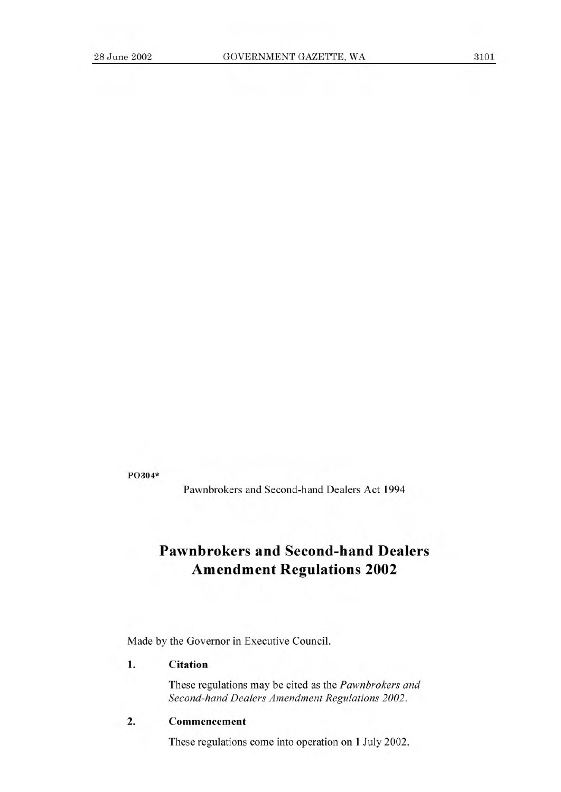**P0304\*** 

Pawnbrokers and Second-hand Dealers Act 1994

# **Pawnbrokers and Second-hand Dealers Amendment Regulations 2002**

Made by the Governor in Executive Council.

## **1. Citation**

These regulations may be cited as the *Pawnbrokers and Second-hand Dealers Amendment Regulations 2002.* 

#### **2. Commencement**

These regulations come into operation on 1 July 2002.